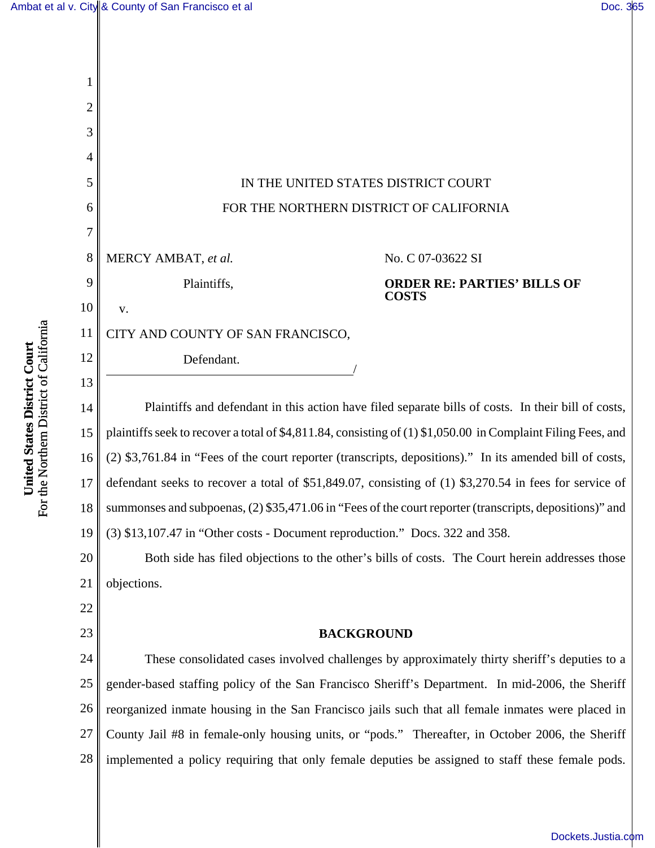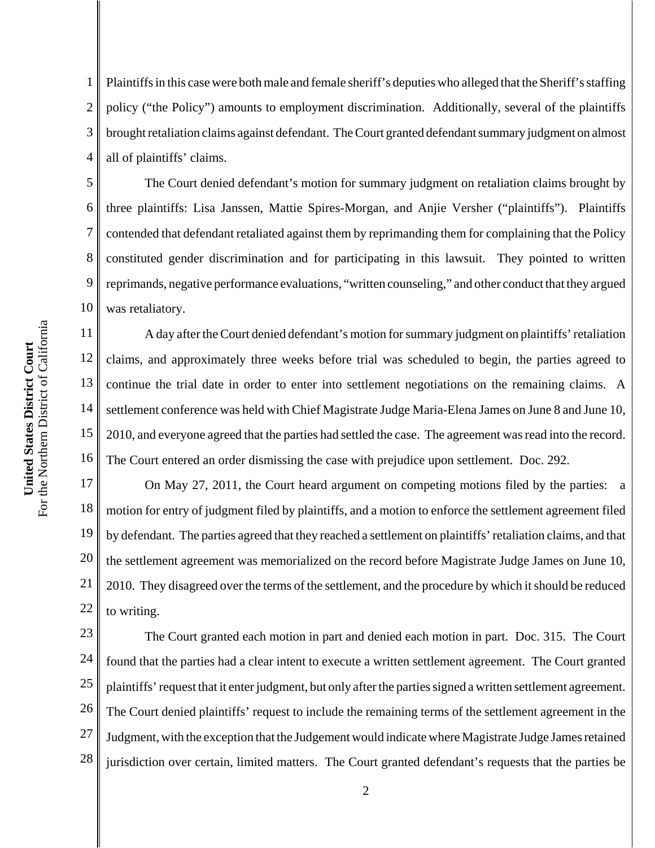1 2 3 4 Plaintiffs in this case were both male and female sheriff's deputies who alleged that the Sheriff's staffing policy ("the Policy") amounts to employment discrimination. Additionally, several of the plaintiffs brought retaliation claims against defendant. The Court granted defendant summary judgment on almost all of plaintiffs' claims.

5 6 8 9 10 The Court denied defendant's motion for summary judgment on retaliation claims brought by three plaintiffs: Lisa Janssen, Mattie Spires-Morgan, and Anjie Versher ("plaintiffs"). Plaintiffs contended that defendant retaliated against them by reprimanding them for complaining that the Policy constituted gender discrimination and for participating in this lawsuit. They pointed to written reprimands, negative performance evaluations, "written counseling," and other conduct that they argued was retaliatory.

16 A day after the Court denied defendant's motion for summary judgment on plaintiffs' retaliation claims, and approximately three weeks before trial was scheduled to begin, the parties agreed to continue the trial date in order to enter into settlement negotiations on the remaining claims. A settlement conference was held with Chief Magistrate Judge Maria-Elena James on June 8 and June 10, 2010, and everyone agreed that the parties had settled the case. The agreement was read into the record. The Court entered an order dismissing the case with prejudice upon settlement. Doc. 292.

17 18 19 20 21 22 On May 27, 2011, the Court heard argument on competing motions filed by the parties: a motion for entry of judgment filed by plaintiffs, and a motion to enforce the settlement agreement filed by defendant. The parties agreed that they reached a settlement on plaintiffs' retaliation claims, and that the settlement agreement was memorialized on the record before Magistrate Judge James on June 10, 2010. They disagreed over the terms of the settlement, and the procedure by which it should be reduced to writing.

23 24 25 26 27 28 The Court granted each motion in part and denied each motion in part. Doc. 315. The Court found that the parties had a clear intent to execute a written settlement agreement. The Court granted plaintiffs' request that it enter judgment, but only after the parties signed a written settlement agreement. The Court denied plaintiffs' request to include the remaining terms of the settlement agreement in the Judgment, with the exception that the Judgement would indicate where Magistrate Judge James retained jurisdiction over certain, limited matters. The Court granted defendant's requests that the parties be

7

11

12

13

14

15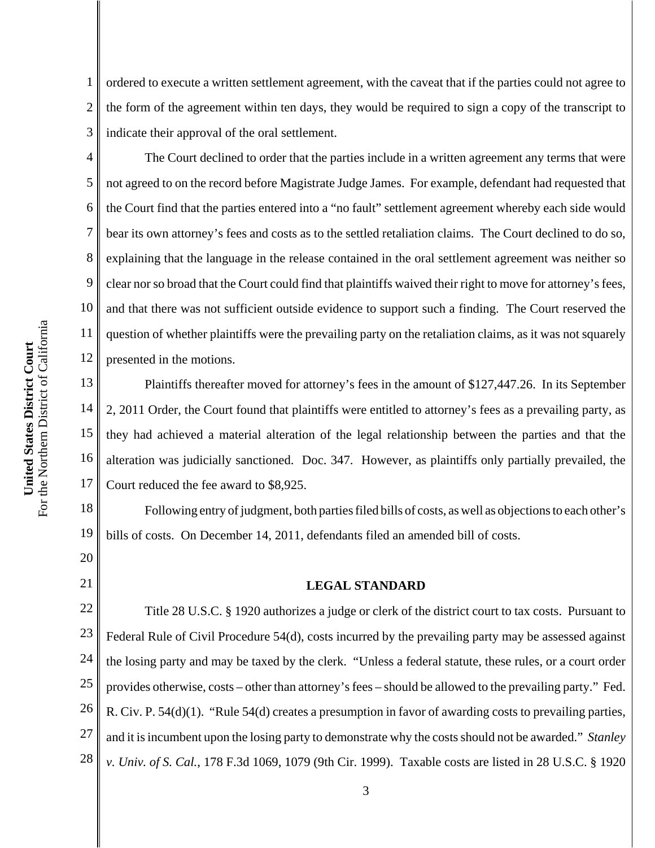1 2 3 ordered to execute a written settlement agreement, with the caveat that if the parties could not agree to the form of the agreement within ten days, they would be required to sign a copy of the transcript to indicate their approval of the oral settlement.

10 12 The Court declined to order that the parties include in a written agreement any terms that were not agreed to on the record before Magistrate Judge James. For example, defendant had requested that the Court find that the parties entered into a "no fault" settlement agreement whereby each side would bear its own attorney's fees and costs as to the settled retaliation claims. The Court declined to do so, explaining that the language in the release contained in the oral settlement agreement was neither so clear nor so broad that the Court could find that plaintiffs waived their right to move for attorney's fees, and that there was not sufficient outside evidence to support such a finding. The Court reserved the question of whether plaintiffs were the prevailing party on the retaliation claims, as it was not squarely presented in the motions.

13 14 15 16 17 Plaintiffs thereafter moved for attorney's fees in the amount of \$127,447.26. In its September 2, 2011 Order, the Court found that plaintiffs were entitled to attorney's fees as a prevailing party, as they had achieved a material alteration of the legal relationship between the parties and that the alteration was judicially sanctioned. Doc. 347. However, as plaintiffs only partially prevailed, the Court reduced the fee award to \$8,925.

18 19 Following entry of judgment, both parties filed bills of costs, as well as objections to each other's bills of costs. On December 14, 2011, defendants filed an amended bill of costs.

## **LEGAL STANDARD**

22 23 24 25 26 27 28 Title 28 U.S.C. § 1920 authorizes a judge or clerk of the district court to tax costs. Pursuant to Federal Rule of Civil Procedure 54(d), costs incurred by the prevailing party may be assessed against the losing party and may be taxed by the clerk. "Unless a federal statute, these rules, or a court order provides otherwise, costs – other than attorney's fees – should be allowed to the prevailing party." Fed. R. Civ. P. 54(d)(1). "Rule 54(d) creates a presumption in favor of awarding costs to prevailing parties, and it is incumbent upon the losing party to demonstrate why the costs should not be awarded." *Stanley v. Univ. of S. Cal.*, 178 F.3d 1069, 1079 (9th Cir. 1999). Taxable costs are listed in 28 U.S.C. § 1920

4

5

6

7

8

9

11

20

21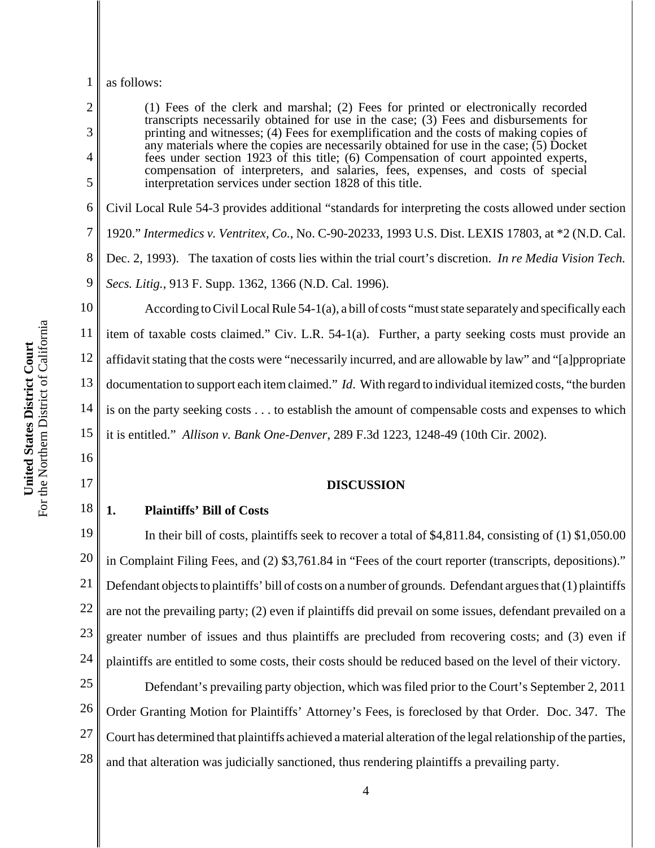### 1 as follows:

2

3

4

5

6

7

8

9

16

17

(1) Fees of the clerk and marshal; (2) Fees for printed or electronically recorded transcripts necessarily obtained for use in the case; (3) Fees and disbursements for printing and witnesses; (4) Fees for exemplification and the costs of making copies of any materials where the copies are necessarily obtained for use in the case;  $(5)$  Docket fees under section 1923 of this title; (6) Compensation of court appointed experts, compensation of interpreters, and salaries, fees, expenses, and costs of special interpretation services under section 1828 of this title. Civil Local Rule 54-3 provides additional "standards for interpreting the costs allowed under section 1920." *Intermedics v. Ventritex, Co.*, No. C-90-20233, 1993 U.S. Dist. LEXIS 17803, at \*2 (N.D. Cal. Dec. 2, 1993). The taxation of costs lies within the trial court's discretion. *In re Media Vision Tech. Secs. Litig.*, 913 F. Supp. 1362, 1366 (N.D. Cal. 1996). According to Civil Local Rule 54-1(a), a bill of costs "must state separately and specifically each

10 11 12 13 14 15 item of taxable costs claimed." Civ. L.R. 54-1(a). Further, a party seeking costs must provide an affidavit stating that the costs were "necessarily incurred, and are allowable by law" and "[a]ppropriate documentation to support each item claimed." *Id*. With regard to individual itemized costs, "the burden is on the party seeking costs . . . to establish the amount of compensable costs and expenses to which it is entitled." *Allison v. Bank One-Denver*, 289 F.3d 1223, 1248-49 (10th Cir. 2002).

## **DISCUSSION**

18 **1. Plaintiffs' Bill of Costs**

19 20 21 22 23 24 In their bill of costs, plaintiffs seek to recover a total of \$4,811.84, consisting of (1) \$1,050.00 in Complaint Filing Fees, and (2) \$3,761.84 in "Fees of the court reporter (transcripts, depositions)." Defendant objects to plaintiffs' bill of costs on a number of grounds. Defendant argues that (1) plaintiffs are not the prevailing party; (2) even if plaintiffs did prevail on some issues, defendant prevailed on a greater number of issues and thus plaintiffs are precluded from recovering costs; and (3) even if plaintiffs are entitled to some costs, their costs should be reduced based on the level of their victory.

25 26 27 28 Defendant's prevailing party objection, which was filed prior to the Court's September 2, 2011 Order Granting Motion for Plaintiffs' Attorney's Fees, is foreclosed by that Order. Doc. 347. The Court has determined that plaintiffs achieved a material alteration of the legal relationship of the parties, and that alteration was judicially sanctioned, thus rendering plaintiffs a prevailing party.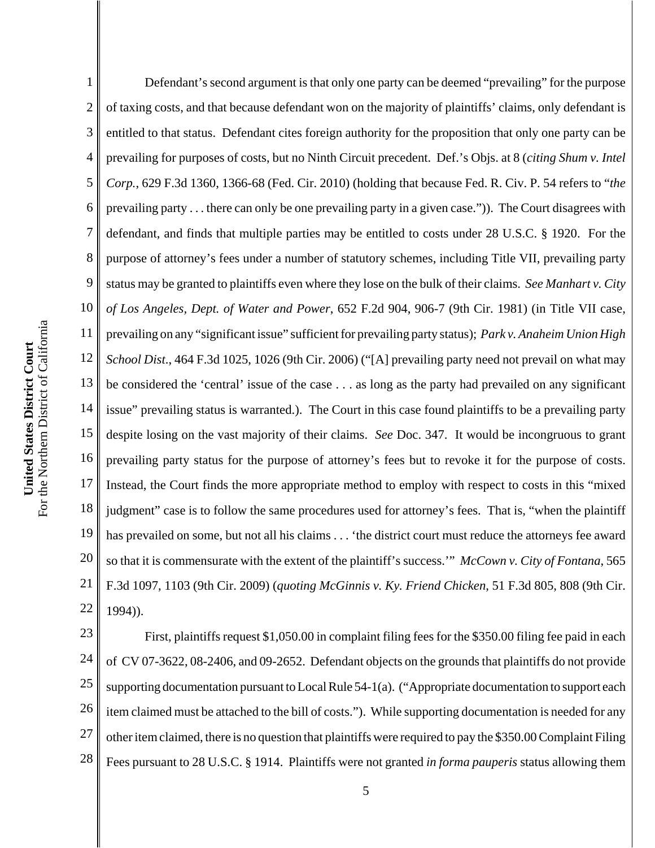1 2 3 4 5 6 7 8 9 10 11 12 13 14 15 16 17 18 19 20 21 22 Defendant's second argument is that only one party can be deemed "prevailing" for the purpose of taxing costs, and that because defendant won on the majority of plaintiffs' claims, only defendant is entitled to that status. Defendant cites foreign authority for the proposition that only one party can be prevailing for purposes of costs, but no Ninth Circuit precedent. Def.'s Objs. at 8 (*citing Shum v. Intel Corp.*, 629 F.3d 1360, 1366-68 (Fed. Cir. 2010) (holding that because Fed. R. Civ. P. 54 refers to "*the* prevailing party . . . there can only be one prevailing party in a given case.")). The Court disagrees with defendant, and finds that multiple parties may be entitled to costs under 28 U.S.C. § 1920. For the purpose of attorney's fees under a number of statutory schemes, including Title VII, prevailing party status may be granted to plaintiffs even where they lose on the bulk of their claims. *See Manhart v. City of Los Angeles, Dept. of Water and Power*, 652 F.2d 904, 906-7 (9th Cir. 1981) (in Title VII case, prevailing on any "significant issue" sufficient for prevailing party status); *Park v. Anaheim Union High School Dist*., 464 F.3d 1025, 1026 (9th Cir. 2006) ("[A] prevailing party need not prevail on what may be considered the 'central' issue of the case . . . as long as the party had prevailed on any significant issue" prevailing status is warranted.). The Court in this case found plaintiffs to be a prevailing party despite losing on the vast majority of their claims. *See* Doc. 347. It would be incongruous to grant prevailing party status for the purpose of attorney's fees but to revoke it for the purpose of costs. Instead, the Court finds the more appropriate method to employ with respect to costs in this "mixed judgment" case is to follow the same procedures used for attorney's fees. That is, "when the plaintiff has prevailed on some, but not all his claims . . . 'the district court must reduce the attorneys fee award so that it is commensurate with the extent of the plaintiff's success.'" *McCown v. City of Fontana*, 565 F.3d 1097, 1103 (9th Cir. 2009) (*quoting McGinnis v. Ky. Friend Chicken*, 51 F.3d 805, 808 (9th Cir. 1994)).

23 24 25 26 27 28 First, plaintiffs request \$1,050.00 in complaint filing fees for the \$350.00 filing fee paid in each of CV 07-3622, 08-2406, and 09-2652. Defendant objects on the grounds that plaintiffs do not provide supporting documentation pursuant to Local Rule 54-1(a). ("Appropriate documentation to support each item claimed must be attached to the bill of costs."). While supporting documentation is needed for any other item claimed, there is no question that plaintiffs were required to pay the \$350.00 Complaint Filing Fees pursuant to 28 U.S.C. § 1914. Plaintiffs were not granted *in forma pauperis* status allowing them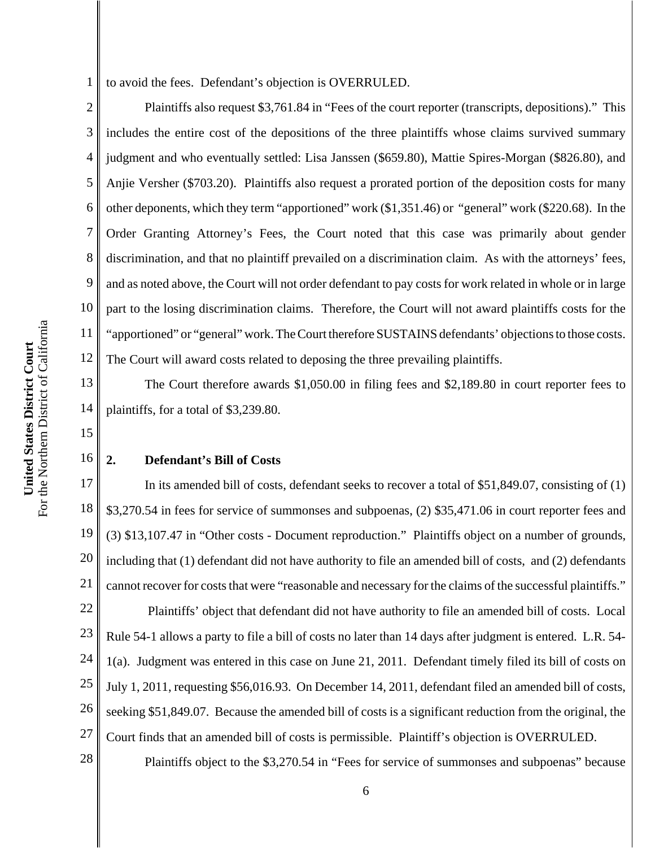1 to avoid the fees. Defendant's objection is OVERRULED.

2 3 4 5 6 7 8 9 10 11 12 Plaintiffs also request \$3,761.84 in "Fees of the court reporter (transcripts, depositions)." This includes the entire cost of the depositions of the three plaintiffs whose claims survived summary judgment and who eventually settled: Lisa Janssen (\$659.80), Mattie Spires-Morgan (\$826.80), and Anjie Versher (\$703.20). Plaintiffs also request a prorated portion of the deposition costs for many other deponents, which they term "apportioned" work (\$1,351.46) or "general" work (\$220.68). In the Order Granting Attorney's Fees, the Court noted that this case was primarily about gender discrimination, and that no plaintiff prevailed on a discrimination claim. As with the attorneys' fees, and as noted above, the Court will not order defendant to pay costs for work related in whole or in large part to the losing discrimination claims. Therefore, the Court will not award plaintiffs costs for the "apportioned" or "general" work. The Court therefore SUSTAINS defendants' objections to those costs. The Court will award costs related to deposing the three prevailing plaintiffs.

13 14 The Court therefore awards \$1,050.00 in filing fees and \$2,189.80 in court reporter fees to plaintiffs, for a total of \$3,239.80.

15

16

28

# **2. Defendant's Bill of Costs**

17 18 19 20 21 22 23 24 25 26 27 In its amended bill of costs, defendant seeks to recover a total of \$51,849.07, consisting of (1) \$3,270.54 in fees for service of summonses and subpoenas, (2) \$35,471.06 in court reporter fees and (3) \$13,107.47 in "Other costs - Document reproduction." Plaintiffs object on a number of grounds, including that (1) defendant did not have authority to file an amended bill of costs, and (2) defendants cannot recover for costs that were "reasonable and necessary for the claims of the successful plaintiffs." Plaintiffs' object that defendant did not have authority to file an amended bill of costs. Local Rule 54-1 allows a party to file a bill of costs no later than 14 days after judgment is entered. L.R. 54- 1(a). Judgment was entered in this case on June 21, 2011. Defendant timely filed its bill of costs on July 1, 2011, requesting \$56,016.93. On December 14, 2011, defendant filed an amended bill of costs, seeking \$51,849.07. Because the amended bill of costs is a significant reduction from the original, the Court finds that an amended bill of costs is permissible. Plaintiff's objection is OVERRULED.

Plaintiffs object to the \$3,270.54 in "Fees for service of summonses and subpoenas" because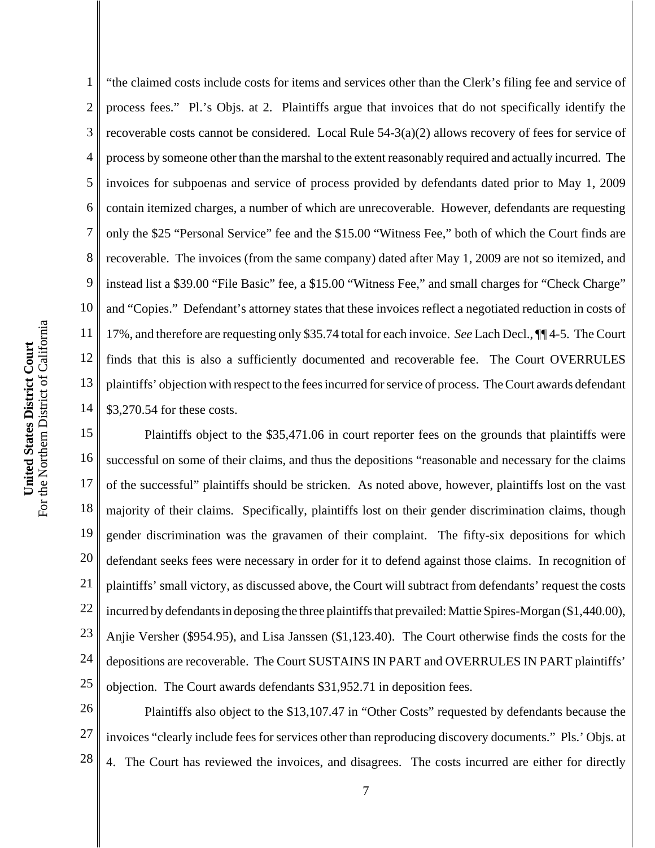4 5 6 7 8 9 10 For the Northern District of California For the Northern District of California 11 United States District Court **United States District Court** 12 13 14 15 16 17

1

2 3 "the claimed costs include costs for items and services other than the Clerk's filing fee and service of process fees." Pl.'s Objs. at 2. Plaintiffs argue that invoices that do not specifically identify the recoverable costs cannot be considered. Local Rule 54-3(a)(2) allows recovery of fees for service of process by someone other than the marshal to the extent reasonably required and actually incurred. The invoices for subpoenas and service of process provided by defendants dated prior to May 1, 2009 contain itemized charges, a number of which are unrecoverable. However, defendants are requesting only the \$25 "Personal Service" fee and the \$15.00 "Witness Fee," both of which the Court finds are recoverable. The invoices (from the same company) dated after May 1, 2009 are not so itemized, and instead list a \$39.00 "File Basic" fee, a \$15.00 "Witness Fee," and small charges for "Check Charge" and "Copies." Defendant's attorney states that these invoices reflect a negotiated reduction in costs of 17%, and therefore are requesting only \$35.74 total for each invoice. *See* Lach Decl., ¶¶ 4-5. The Court finds that this is also a sufficiently documented and recoverable fee. The Court OVERRULES plaintiffs' objection with respect to the fees incurred for service of process. The Court awards defendant \$3,270.54 for these costs.

18 19 20 21 22 23 24 25 Plaintiffs object to the \$35,471.06 in court reporter fees on the grounds that plaintiffs were successful on some of their claims, and thus the depositions "reasonable and necessary for the claims of the successful" plaintiffs should be stricken. As noted above, however, plaintiffs lost on the vast majority of their claims. Specifically, plaintiffs lost on their gender discrimination claims, though gender discrimination was the gravamen of their complaint. The fifty-six depositions for which defendant seeks fees were necessary in order for it to defend against those claims. In recognition of plaintiffs' small victory, as discussed above, the Court will subtract from defendants' request the costs incurred by defendants in deposing the three plaintiffs that prevailed: Mattie Spires-Morgan (\$1,440.00), Anjie Versher (\$954.95), and Lisa Janssen (\$1,123.40). The Court otherwise finds the costs for the depositions are recoverable. The Court SUSTAINS IN PART and OVERRULES IN PART plaintiffs' objection. The Court awards defendants \$31,952.71 in deposition fees.

26 27 28 Plaintiffs also object to the \$13,107.47 in "Other Costs" requested by defendants because the invoices "clearly include fees for services other than reproducing discovery documents." Pls.' Objs. at 4. The Court has reviewed the invoices, and disagrees. The costs incurred are either for directly

7